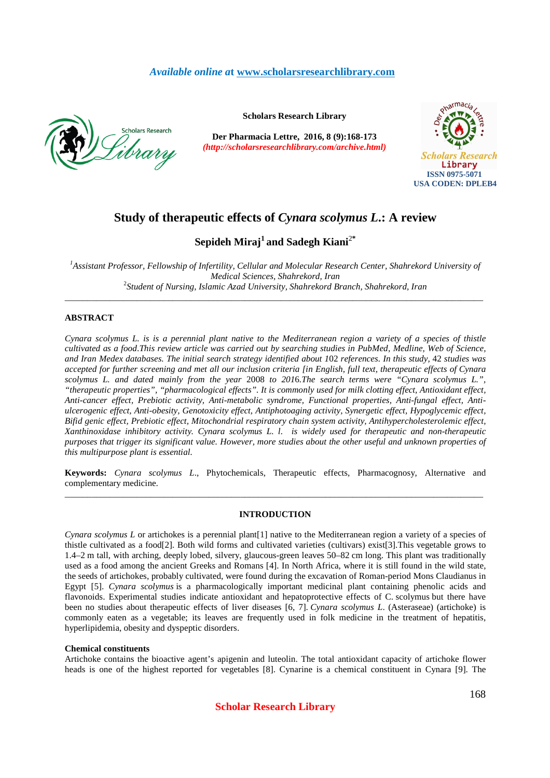# *Available online a***t www.scholarsresearchlibrary.com**



**Scholars Research Library**

**Der Pharmacia Lettre, 2016, 8 (9):168-173** *(http://scholarsresearchlibrary.com/archive.html)*



# **Study of therapeutic effects of** *Cynara scolymus L***.: A review**

# **Sepideh Miraj<sup>1</sup>and Sadegh Kiani**<sup>2</sup>**\***

<sup>1</sup>Assistant Professor, Fellowship of Infertility, Cellular and Molecular Research Center, Shahrekord University of *Medical Sciences, Shahrekord, Iran*  2 *Student of Nursing, Islamic Azad University, Shahrekord Branch, Shahrekord, Iran*

\_\_\_\_\_\_\_\_\_\_\_\_\_\_\_\_\_\_\_\_\_\_\_\_\_\_\_\_\_\_\_\_\_\_\_\_\_\_\_\_\_\_\_\_\_\_\_\_\_\_\_\_\_\_\_\_\_\_\_\_\_\_\_\_\_\_\_\_\_\_\_\_\_\_\_\_\_\_\_\_\_\_\_\_\_\_\_\_\_\_\_\_\_

# **ABSTRACT**

*Cynara scolymus L. is is a perennial plant native to the Mediterranean region a variety of a species of thistle cultivated as a food*.*This review article was carried out by searching studies in PubMed, Medline, Web of Science, and Iran Medex databases. The initial search strategy identified about 1*02 *references. In this study,* 42 *studies was accepted for further screening and met all our inclusion criteria [in English, full text, therapeutic effects of Cynara scolymus L. and dated mainly from the year* 2008 *to 201*6*.The search terms were "Cynara scolymus L.", "therapeutic properties", "pharmacological effects". It is commonly used for milk clotting effect, Antioxidant effect, Anti-cancer effect, Prebiotic activity, Anti-metabolic syndrome, Functional properties, Anti-fungal effect, Antiulcerogenic effect, Anti-obesity, Genotoxicity effect, Antiphotoaging activity, Synergetic effect, Hypoglycemic effect, Bifid genic effect, Prebiotic effect, Mitochondrial respiratory chain system activity, Antihypercholesterolemic effect, Xanthinoxidase inhibitory activity. Cynara scolymus L. l. is widely used for therapeutic and non-therapeutic purposes that trigger its significant value. However, more studies about the other useful and unknown properties of this multipurpose plant is essential.* 

**Keywords:** *Cynara scolymus L*., Phytochemicals, Therapeutic effects, Pharmacognosy, Alternative and complementary medicine. \_\_\_\_\_\_\_\_\_\_\_\_\_\_\_\_\_\_\_\_\_\_\_\_\_\_\_\_\_\_\_\_\_\_\_\_\_\_\_\_\_\_\_\_\_\_\_\_\_\_\_\_\_\_\_\_\_\_\_\_\_\_\_\_\_\_\_\_\_\_\_\_\_\_\_\_\_\_\_\_\_\_\_\_\_\_\_\_\_\_\_\_\_

# **INTRODUCTION**

*Cynara scolymus L* or artichokes is a perennial plant[1] native to the Mediterranean region a variety of a species of thistle cultivated as a food[2]. Both wild forms and cultivated varieties (cultivars) exist[3].This vegetable grows to 1.4–2 m tall, with arching, deeply lobed, silvery, glaucous-green leaves 50–82 cm long. This plant was traditionally used as a food among the ancient Greeks and Romans [4]. In North Africa, where it is still found in the wild state, the seeds of artichokes, probably cultivated, were found during the excavation of Roman-period Mons Claudianus in Egypt [5]. *Cynara scolymus* is a pharmacologically important medicinal plant containing phenolic acids and flavonoids. Experimental studies indicate antioxidant and hepatoprotective effects of C. scolymus but there have been no studies about therapeutic effects of liver diseases [6, 7]. *Cynara scolymus L*. (Asteraseae) (artichoke) is commonly eaten as a vegetable; its leaves are frequently used in folk medicine in the treatment of hepatitis, hyperlipidemia, obesity and dyspeptic disorders.

### **Chemical constituents**

Artichoke contains the bioactive agent's apigenin and luteolin. The total antioxidant capacity of artichoke flower heads is one of the highest reported for vegetables [8]. Cynarine is a chemical constituent in Cynara [9]. The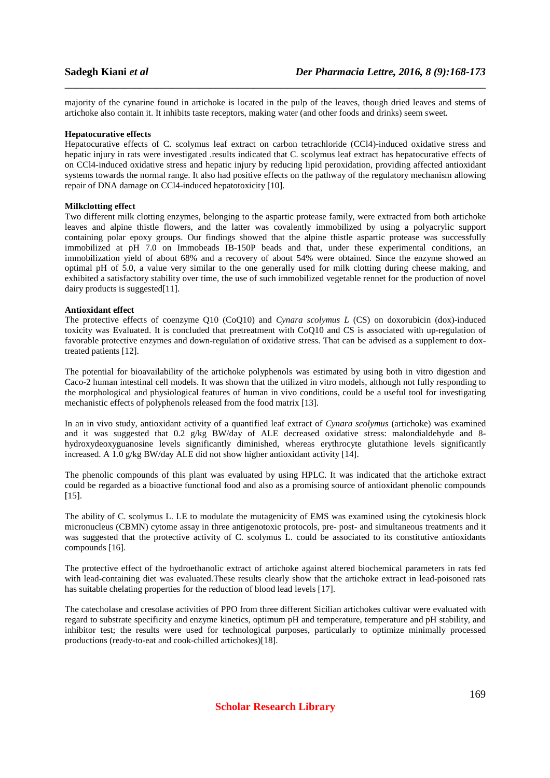majority of the cynarine found in artichoke is located in the pulp of the leaves, though dried leaves and stems of artichoke also contain it. It inhibits taste receptors, making water (and other foods and drinks) seem sweet.

\_\_\_\_\_\_\_\_\_\_\_\_\_\_\_\_\_\_\_\_\_\_\_\_\_\_\_\_\_\_\_\_\_\_\_\_\_\_\_\_\_\_\_\_\_\_\_\_\_\_\_\_\_\_\_\_\_\_\_\_\_\_\_\_\_\_\_\_\_\_\_\_\_\_\_\_\_\_

### **Hepatocurative effects**

Hepatocurative effects of C. scolymus leaf extract on carbon tetrachloride (CCl4)-induced oxidative stress and hepatic injury in rats were investigated .results indicated that C. scolymus leaf extract has hepatocurative effects of on CCl4-induced oxidative stress and hepatic injury by reducing lipid peroxidation, providing affected antioxidant systems towards the normal range. It also had positive effects on the pathway of the regulatory mechanism allowing repair of DNA damage on CCl4-induced hepatotoxicity [10].

# **Milkclotting effect**

Two different milk clotting enzymes, belonging to the aspartic protease family, were extracted from both artichoke leaves and alpine thistle flowers, and the latter was covalently immobilized by using a polyacrylic support containing polar epoxy groups. Our findings showed that the alpine thistle aspartic protease was successfully immobilized at pH 7.0 on Immobeads IB-150P beads and that, under these experimental conditions, an immobilization yield of about 68% and a recovery of about 54% were obtained. Since the enzyme showed an optimal pH of 5.0, a value very similar to the one generally used for milk clotting during cheese making, and exhibited a satisfactory stability over time, the use of such immobilized vegetable rennet for the production of novel dairy products is suggested<sup>[11]</sup>.

# **Antioxidant effect**

The protective effects of coenzyme Q10 (CoQ10) and *Cynara scolymus L* (CS) on doxorubicin (dox)-induced toxicity was Evaluated. It is concluded that pretreatment with CoQ10 and CS is associated with up-regulation of favorable protective enzymes and down-regulation of oxidative stress. That can be advised as a supplement to doxtreated patients [12].

The potential for bioavailability of the artichoke polyphenols was estimated by using both in vitro digestion and Caco-2 human intestinal cell models. It was shown that the utilized in vitro models, although not fully responding to the morphological and physiological features of human in vivo conditions, could be a useful tool for investigating mechanistic effects of polyphenols released from the food matrix [13].

In an in vivo study, antioxidant activity of a quantified leaf extract of *Cynara scolymus* (artichoke) was examined and it was suggested that 0.2 g/kg BW/day of ALE decreased oxidative stress: malondialdehyde and 8hydroxydeoxyguanosine levels significantly diminished, whereas erythrocyte glutathione levels significantly increased. A 1.0 g/kg BW/day ALE did not show higher antioxidant activity [14].

The phenolic compounds of this plant was evaluated by using HPLC. It was indicated that the artichoke extract could be regarded as a bioactive functional food and also as a promising source of antioxidant phenolic compounds [15].

The ability of C. scolymus L. LE to modulate the mutagenicity of EMS was examined using the cytokinesis block micronucleus (CBMN) cytome assay in three antigenotoxic protocols, pre- post- and simultaneous treatments and it was suggested that the protective activity of C. scolymus L. could be associated to its constitutive antioxidants compounds [16].

The protective effect of the hydroethanolic extract of artichoke against altered biochemical parameters in rats fed with lead-containing diet was evaluated.These results clearly show that the artichoke extract in lead-poisoned rats has suitable chelating properties for the reduction of blood lead levels [17].

The catecholase and cresolase activities of PPO from three different Sicilian artichokes cultivar were evaluated with regard to substrate specificity and enzyme kinetics, optimum pH and temperature, temperature and pH stability, and inhibitor test; the results were used for technological purposes, particularly to optimize minimally processed productions (ready-to-eat and cook-chilled artichokes)[18].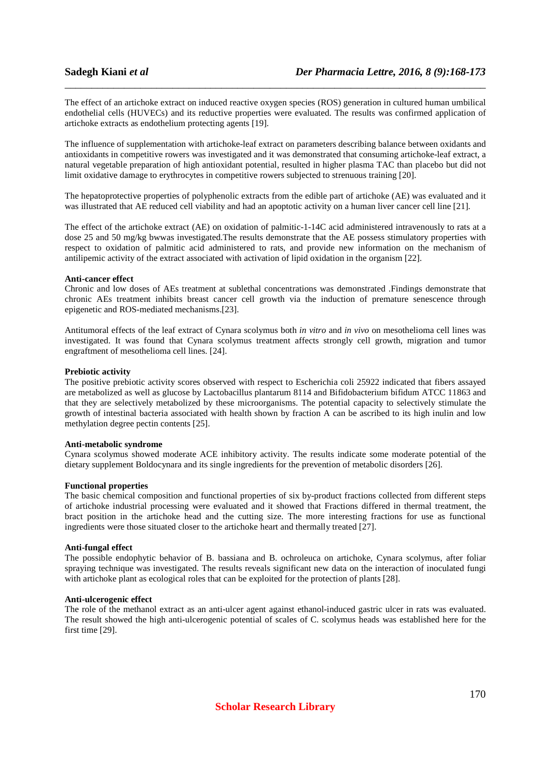The effect of an artichoke extract on induced reactive oxygen species (ROS) generation in cultured human umbilical endothelial cells (HUVECs) and its reductive properties were evaluated. The results was confirmed application of artichoke extracts as endothelium protecting agents [19].

\_\_\_\_\_\_\_\_\_\_\_\_\_\_\_\_\_\_\_\_\_\_\_\_\_\_\_\_\_\_\_\_\_\_\_\_\_\_\_\_\_\_\_\_\_\_\_\_\_\_\_\_\_\_\_\_\_\_\_\_\_\_\_\_\_\_\_\_\_\_\_\_\_\_\_\_\_\_

The influence of supplementation with artichoke-leaf extract on parameters describing balance between oxidants and antioxidants in competitive rowers was investigated and it was demonstrated that consuming artichoke-leaf extract, a natural vegetable preparation of high antioxidant potential, resulted in higher plasma TAC than placebo but did not limit oxidative damage to erythrocytes in competitive rowers subjected to strenuous training [20].

The hepatoprotective properties of polyphenolic extracts from the edible part of artichoke (AE) was evaluated and it was illustrated that AE reduced cell viability and had an apoptotic activity on a human liver cancer cell line [21].

The effect of the artichoke extract (AE) on oxidation of palmitic-1-14C acid administered intravenously to rats at a dose 25 and 50 mg/kg bwwas investigated.The results demonstrate that the AE possess stimulatory properties with respect to oxidation of palmitic acid administered to rats, and provide new information on the mechanism of antilipemic activity of the extract associated with activation of lipid oxidation in the organism [22].

### **Anti-cancer effect**

Chronic and low doses of AEs treatment at sublethal concentrations was demonstrated .Findings demonstrate that chronic AEs treatment inhibits breast cancer cell growth via the induction of premature senescence through epigenetic and ROS-mediated mechanisms.[23].

Antitumoral effects of the leaf extract of Cynara scolymus both *in vitro* and *in vivo* on mesothelioma cell lines was investigated. It was found that Cynara scolymus treatment affects strongly cell growth, migration and tumor engraftment of mesothelioma cell lines. [24].

### **Prebiotic activity**

The positive prebiotic activity scores observed with respect to Escherichia coli 25922 indicated that fibers assayed are metabolized as well as glucose by Lactobacillus plantarum 8114 and Bifidobacterium bifidum ATCC 11863 and that they are selectively metabolized by these microorganisms. The potential capacity to selectively stimulate the growth of intestinal bacteria associated with health shown by fraction A can be ascribed to its high inulin and low methylation degree pectin contents [25].

## **Anti-metabolic syndrome**

Cynara scolymus showed moderate ACE inhibitory activity. The results indicate some moderate potential of the dietary supplement Boldocynara and its single ingredients for the prevention of metabolic disorders [26].

### **Functional properties**

The basic chemical composition and functional properties of six by-product fractions collected from different steps of artichoke industrial processing were evaluated and it showed that Fractions differed in thermal treatment, the bract position in the artichoke head and the cutting size. The more interesting fractions for use as functional ingredients were those situated closer to the artichoke heart and thermally treated [27].

### **Anti-fungal effect**

The possible endophytic behavior of B. bassiana and B. ochroleuca on artichoke, Cynara scolymus, after foliar spraying technique was investigated. The results reveals significant new data on the interaction of inoculated fungi with artichoke plant as ecological roles that can be exploited for the protection of plants [28].

### **Anti-ulcerogenic effect**

The role of the methanol extract as an anti-ulcer agent against ethanol-induced gastric ulcer in rats was evaluated. The result showed the high anti-ulcerogenic potential of scales of C. scolymus heads was established here for the first time [29].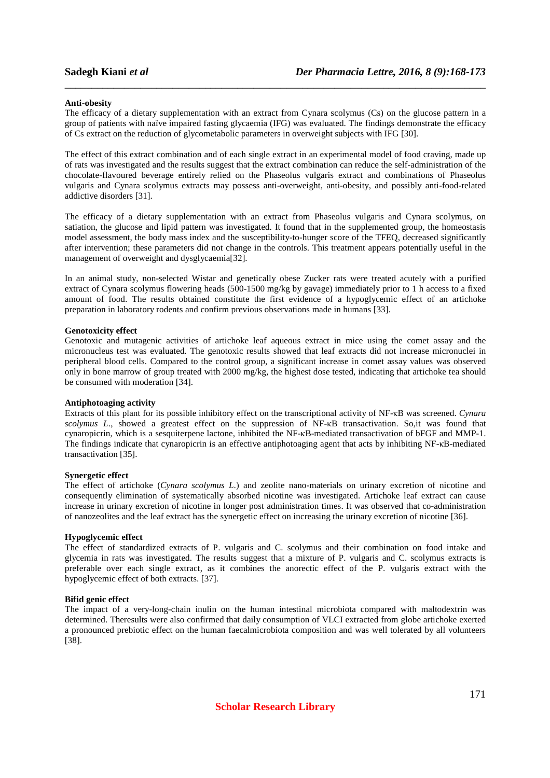# **Anti-obesity**

The efficacy of a dietary supplementation with an extract from Cynara scolymus (Cs) on the glucose pattern in a group of patients with naïve impaired fasting glycaemia (IFG) was evaluated. The findings demonstrate the efficacy of Cs extract on the reduction of glycometabolic parameters in overweight subjects with IFG [30].

\_\_\_\_\_\_\_\_\_\_\_\_\_\_\_\_\_\_\_\_\_\_\_\_\_\_\_\_\_\_\_\_\_\_\_\_\_\_\_\_\_\_\_\_\_\_\_\_\_\_\_\_\_\_\_\_\_\_\_\_\_\_\_\_\_\_\_\_\_\_\_\_\_\_\_\_\_\_

The effect of this extract combination and of each single extract in an experimental model of food craving, made up of rats was investigated and the results suggest that the extract combination can reduce the self-administration of the chocolate-flavoured beverage entirely relied on the Phaseolus vulgaris extract and combinations of Phaseolus vulgaris and Cynara scolymus extracts may possess anti-overweight, anti-obesity, and possibly anti-food-related addictive disorders [31].

The efficacy of a dietary supplementation with an extract from Phaseolus vulgaris and Cynara scolymus, on satiation, the glucose and lipid pattern was investigated. It found that in the supplemented group, the homeostasis model assessment, the body mass index and the susceptibility-to-hunger score of the TFEQ, decreased significantly after intervention; these parameters did not change in the controls. This treatment appears potentially useful in the management of overweight and dysglycaemia[32].

In an animal study, non-selected Wistar and genetically obese Zucker rats were treated acutely with a purified extract of Cynara scolymus flowering heads (500-1500 mg/kg by gavage) immediately prior to 1 h access to a fixed amount of food. The results obtained constitute the first evidence of a hypoglycemic effect of an artichoke preparation in laboratory rodents and confirm previous observations made in humans [33].

# **Genotoxicity effect**

Genotoxic and mutagenic activities of artichoke leaf aqueous extract in mice using the comet assay and the micronucleus test was evaluated. The genotoxic results showed that leaf extracts did not increase micronuclei in peripheral blood cells. Compared to the control group, a significant increase in comet assay values was observed only in bone marrow of group treated with 2000 mg/kg, the highest dose tested, indicating that artichoke tea should be consumed with moderation [34].

# **Antiphotoaging activity**

Extracts of this plant for its possible inhibitory effect on the transcriptional activity of NF-κB was screened. *Cynara scolymus L*., showed a greatest effect on the suppression of NF-κB transactivation. So,it was found that cynaropicrin, which is a sesquiterpene lactone, inhibited the NF-κB-mediated transactivation of bFGF and MMP-1. The findings indicate that cynaropicrin is an effective antiphotoaging agent that acts by inhibiting NF-κB-mediated transactivation [35].

### **Synergetic effect**

The effect of artichoke (*Cynara scolymus L*.) and zeolite nano-materials on urinary excretion of nicotine and consequently elimination of systematically absorbed nicotine was investigated. Artichoke leaf extract can cause increase in urinary excretion of nicotine in longer post administration times. It was observed that co-administration of nanozeolites and the leaf extract has the synergetic effect on increasing the urinary excretion of nicotine [36].

# **Hypoglycemic effect**

The effect of standardized extracts of P. vulgaris and C. scolymus and their combination on food intake and glycemia in rats was investigated. The results suggest that a mixture of P. vulgaris and C. scolymus extracts is preferable over each single extract, as it combines the anorectic effect of the P. vulgaris extract with the hypoglycemic effect of both extracts. [37].

### **Bifid genic effect**

The impact of a very-long-chain inulin on the human intestinal microbiota compared with maltodextrin was determined. Theresults were also confirmed that daily consumption of VLCI extracted from globe artichoke exerted a pronounced prebiotic effect on the human faecalmicrobiota composition and was well tolerated by all volunteers [38].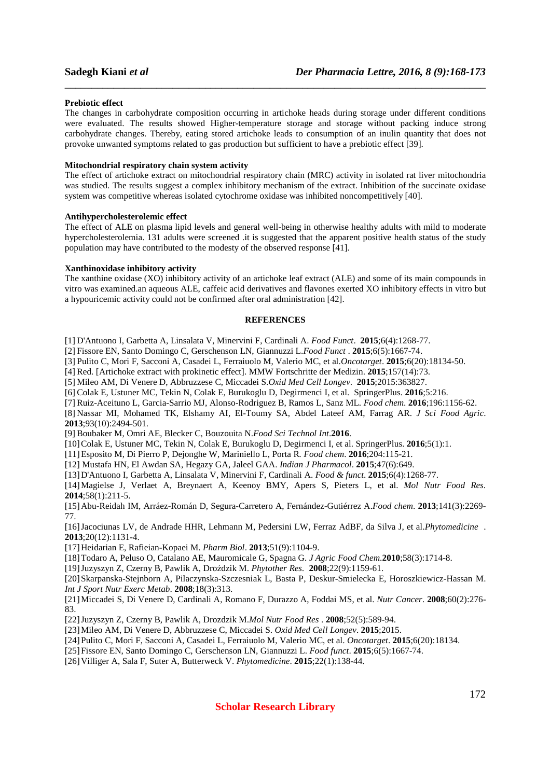### **Prebiotic effect**

The changes in carbohydrate composition occurring in artichoke heads during storage under different conditions were evaluated. The results showed Higher-temperature storage and storage without packing induce strong carbohydrate changes. Thereby, eating stored artichoke leads to consumption of an inulin quantity that does not provoke unwanted symptoms related to gas production but sufficient to have a prebiotic effect [39].

\_\_\_\_\_\_\_\_\_\_\_\_\_\_\_\_\_\_\_\_\_\_\_\_\_\_\_\_\_\_\_\_\_\_\_\_\_\_\_\_\_\_\_\_\_\_\_\_\_\_\_\_\_\_\_\_\_\_\_\_\_\_\_\_\_\_\_\_\_\_\_\_\_\_\_\_\_\_

### **Mitochondrial respiratory chain system activity**

The effect of artichoke extract on mitochondrial respiratory chain (MRC) activity in isolated rat liver mitochondria was studied. The results suggest a complex inhibitory mechanism of the extract. Inhibition of the succinate oxidase system was competitive whereas isolated cytochrome oxidase was inhibited noncompetitively [40].

# **Antihypercholesterolemic effect**

The effect of ALE on plasma lipid levels and general well-being in otherwise healthy adults with mild to moderate hypercholesterolemia. 131 adults were screened .it is suggested that the apparent positive health status of the study population may have contributed to the modesty of the observed response [41].

# **Xanthinoxidase inhibitory activity**

The xanthine oxidase (XO) inhibitory activity of an artichoke leaf extract (ALE) and some of its main compounds in vitro was examined.an aqueous ALE, caffeic acid derivatives and flavones exerted XO inhibitory effects in vitro but a hypouricemic activity could not be confirmed after oral administration [42].

# **REFERENCES**

[1] D'Antuono I, Garbetta A, Linsalata V, Minervini F, Cardinali A. *Food Funct*. **2015**;6(4):1268-77.

- [2] Fissore EN, Santo Domingo C, Gerschenson LN, Giannuzzi L.*Food Funct* . **2015**;6(5):1667-74.
- [3] Pulito C, Mori F, Sacconi A, Casadei L, Ferraiuolo M, Valerio MC, et al.*Oncotarget*. **2015**;6(20):18134-50.

[4] Red. [Artichoke extract with prokinetic effect]. MMW Fortschritte der Medizin. **2015**;157(14):73.

[5] Mileo AM, Di Venere D, Abbruzzese C, Miccadei S.*Oxid Med Cell Longev*. **2015**;2015:363827.

[6] Colak E, Ustuner MC, Tekin N, Colak E, Burukoglu D, Degirmenci I, et al. SpringerPlus. **2016**;5:216.

[7] Ruiz-Aceituno L, Garcia-Sarrio MJ, Alonso-Rodriguez B, Ramos L, Sanz ML. *Food chem*. **2016**;196:1156-62.

[8] Nassar MI, Mohamed TK, Elshamy AI, El-Toumy SA, Abdel Lateef AM, Farrag AR. *J Sci Food Agric*. **2013**;93(10):2494-501.

[9] Boubaker M, Omri AE, Blecker C, Bouzouita N.*Food Sci Technol Int*.**2016**.

[10] Colak E, Ustuner MC, Tekin N, Colak E, Burukoglu D, Degirmenci I, et al. SpringerPlus. **2016**;5(1):1.

[11] Esposito M, Di Pierro P, Dejonghe W, Mariniello L, Porta R*. Food chem*. **2016**;204:115-21.

[12] Mustafa HN, El Awdan SA, Hegazy GA, Jaleel GAA. *Indian J Pharmacol*. **2015**;47(6):649.

[13] D'Antuono I, Garbetta A, Linsalata V, Minervini F, Cardinali A. *Food & funct*. **2015**;6(4):1268-77.

[14] Magielse J, Verlaet A, Breynaert A, Keenoy BMY, Apers S, Pieters L, et al. *Mol Nutr Food Res.* **2014**;58(1):211-5.

[15] Abu-Reidah IM, Arráez-Román D, Segura-Carretero A, Fernández-Gutiérrez A.*Food chem*. **2013**;141(3):2269- 77.

[16] Jacociunas LV, de Andrade HHR, Lehmann M, Pedersini LW, Ferraz AdBF, da Silva J, et al.*Phytomedicine* . **2013**;20(12):1131-4.

[17] Heidarian E, Rafieian-Kopaei M. *Pharm Biol*. **2013**;51(9):1104-9.

[18] Todaro A, Peluso O, Catalano AE, Mauromicale G, Spagna G. *J Agric Food Chem*.**2010**;58(3):1714-8.

[19] Juzyszyn Z, Czerny B, Pawlik A, Droździk M. *Phytother Res.* **2008**;22(9):1159-61.

[20] Skarpanska-Stejnborn A, Pilaczynska-Szczesniak L, Basta P, Deskur-Smielecka E, Horoszkiewicz-Hassan M. *Int J Sport Nutr Exerc Metab*. **2008**;18(3):313.

[21] Miccadei S, Di Venere D, Cardinali A, Romano F, Durazzo A, Foddai MS, et al. *Nutr Cancer*. **2008**;60(2):276- 83.

[22] Juzyszyn Z, Czerny B, Pawlik A, Drozdzik M.*Mol Nutr Food Res* . **2008**;52(5):589-94.

[23] Mileo AM, Di Venere D, Abbruzzese C, Miccadei S. *Oxid Med Cell Longev*. **2015**;2015.

[24] Pulito C, Mori F, Sacconi A, Casadei L, Ferraiuolo M, Valerio MC, et al. *Oncotarget*. **2015**;6(20):18134.

[25] Fissore EN, Santo Domingo C, Gerschenson LN, Giannuzzi L. *Food funct*. **2015**;6(5):1667-74.

[26] Villiger A, Sala F, Suter A, Butterweck V. *Phytomedicine*. **2015**;22(1):138-44.

**Scholar Research Library**